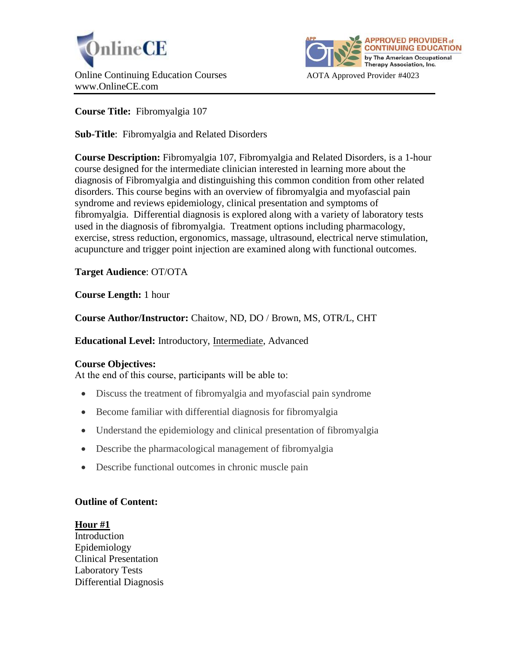



**Course Title:** Fibromyalgia 107

**Sub-Title**: Fibromyalgia and Related Disorders

**Course Description:** Fibromyalgia 107, Fibromyalgia and Related Disorders, is a 1-hour course designed for the intermediate clinician interested in learning more about the diagnosis of Fibromyalgia and distinguishing this common condition from other related disorders. This course begins with an overview of fibromyalgia and myofascial pain syndrome and reviews epidemiology, clinical presentation and symptoms of fibromyalgia. Differential diagnosis is explored along with a variety of laboratory tests used in the diagnosis of fibromyalgia. Treatment options including pharmacology, exercise, stress reduction, ergonomics, massage, ultrasound, electrical nerve stimulation, acupuncture and trigger point injection are examined along with functional outcomes.

**Target Audience**: OT/OTA

**Course Length:** 1 hour

**Course Author/Instructor:** Chaitow, ND, DO / Brown, MS, OTR/L, CHT

**Educational Level:** Introductory, Intermediate, Advanced

### **Course Objectives:**

At the end of this course, participants will be able to:

- Discuss the treatment of fibromyalgia and myofascial pain syndrome
- Become familiar with differential diagnosis for fibromyalgia
- Understand the epidemiology and clinical presentation of fibromyalgia
- Describe the pharmacological management of fibromyalgia
- Describe functional outcomes in chronic muscle pain

### **Outline of Content:**

**Hour #1**

Introduction Epidemiology Clinical Presentation Laboratory Tests Differential Diagnosis